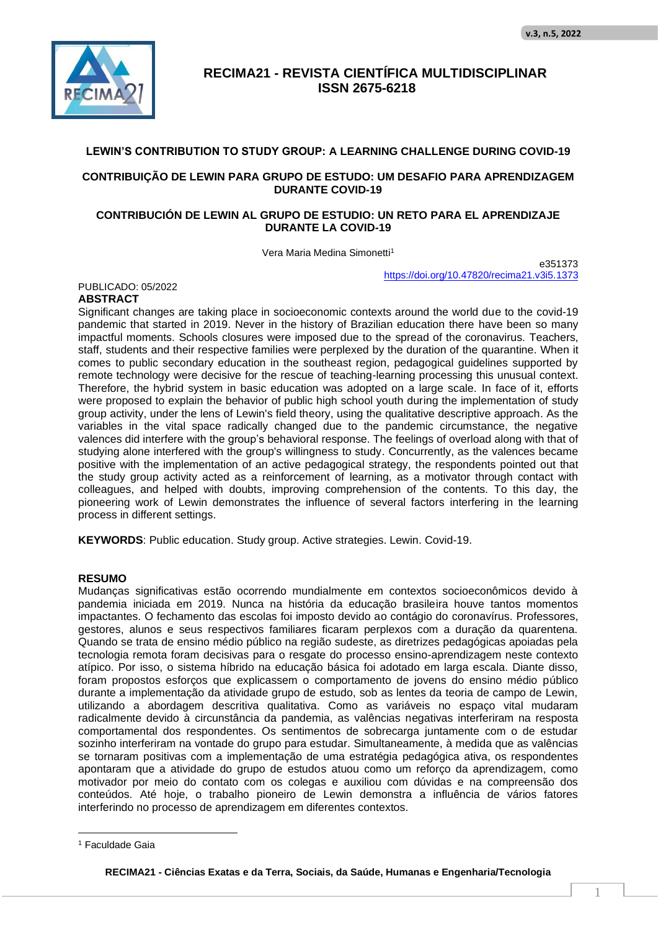

### **LEWIN'S CONTRIBUTION TO STUDY GROUP: A LEARNING CHALLENGE DURING COVID-19**

### **CONTRIBUIÇÃO DE LEWIN PARA GRUPO DE ESTUDO: UM DESAFIO PARA APRENDIZAGEM DURANTE COVID-19**

### **CONTRIBUCIÓN DE LEWIN AL GRUPO DE ESTUDIO: UN RETO PARA EL APRENDIZAJE DURANTE LA COVID-19**

Vera Maria Medina Simonetti<sup>1</sup>

e351373 https://doi.org/10.47820/recima21.v3i5.1373

PUBLICADO: 05/2022

### **ABSTRACT**

Significant changes are taking place in socioeconomic contexts around the world due to the covid-19 pandemic that started in 2019. Never in the history of Brazilian education there have been so many impactful moments. Schools closures were imposed due to the spread of the coronavirus. Teachers, staff, students and their respective families were perplexed by the duration of the quarantine. When it comes to public secondary education in the southeast region, pedagogical guidelines supported by remote technology were decisive for the rescue of teaching-learning processing this unusual context. Therefore, the hybrid system in basic education was adopted on a large scale. In face of it, efforts were proposed to explain the behavior of public high school youth during the implementation of study group activity, under the lens of Lewin's field theory, using the qualitative descriptive approach. As the variables in the vital space radically changed due to the pandemic circumstance, the negative valences did interfere with the group's behavioral response. The feelings of overload along with that of studying alone interfered with the group's willingness to study. Concurrently, as the valences became positive with the implementation of an active pedagogical strategy, the respondents pointed out that the study group activity acted as a reinforcement of learning, as a motivator through contact with colleagues, and helped with doubts, improving comprehension of the contents. To this day, the pioneering work of Lewin demonstrates the influence of several factors interfering in the learning process in different settings.

**KEYWORDS**: Public education. Study group. Active strategies. Lewin. Covid-19.

### **RESUMO**

Mudanças significativas estão ocorrendo mundialmente em contextos socioeconômicos devido à pandemia iniciada em 2019. Nunca na história da educação brasileira houve tantos momentos impactantes. O fechamento das escolas foi imposto devido ao contágio do coronavírus. Professores, gestores, alunos e seus respectivos familiares ficaram perplexos com a duração da quarentena. Quando se trata de ensino médio público na região sudeste, as diretrizes pedagógicas apoiadas pela tecnologia remota foram decisivas para o resgate do processo ensino-aprendizagem neste contexto atípico. Por isso, o sistema híbrido na educação básica foi adotado em larga escala. Diante disso, foram propostos esforços que explicassem o comportamento de jovens do ensino médio público durante a implementação da atividade grupo de estudo, sob as lentes da teoria de campo de Lewin, utilizando a abordagem descritiva qualitativa. Como as variáveis no espaço vital mudaram radicalmente devido à circunstância da pandemia, as valências negativas interferiram na resposta comportamental dos respondentes. Os sentimentos de sobrecarga juntamente com o de estudar sozinho interferiram na vontade do grupo para estudar. Simultaneamente, à medida que as valências se tornaram positivas com a implementação de uma estratégia pedagógica ativa, os respondentes apontaram que a atividade do grupo de estudos atuou como um reforço da aprendizagem, como motivador por meio do contato com os colegas e auxiliou com dúvidas e na compreensão dos conteúdos. Até hoje, o trabalho pioneiro de Lewin demonstra a influência de vários fatores interferindo no processo de aprendizagem em diferentes contextos.

<sup>&</sup>lt;sup>1</sup> Faculdade Gaia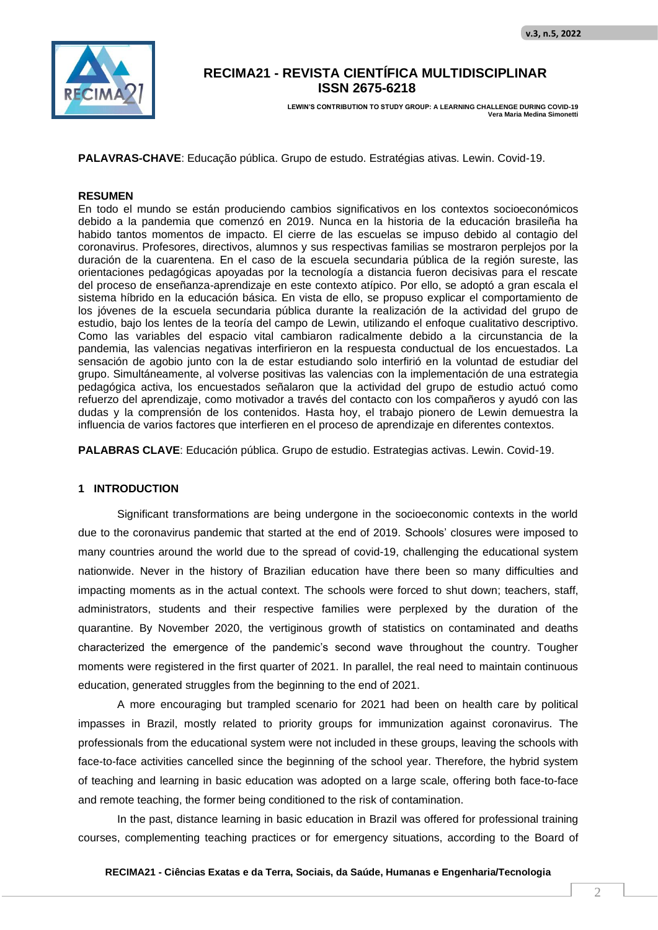

**LEWIN'S CONTRIBUTION TO STUDY GROUP: A LEARNING CHALLENGE DURING COVID-19 Vera Maria Medina Simonetti**

**PALAVRAS-CHAVE**: Educação pública. Grupo de estudo. Estratégias ativas. Lewin. Covid-19.

#### **RESUMEN**

En todo el mundo se están produciendo cambios significativos en los contextos socioeconómicos debido a la pandemia que comenzó en 2019. Nunca en la historia de la educación brasileña ha habido tantos momentos de impacto. El cierre de las escuelas se impuso debido al contagio del coronavirus. Profesores, directivos, alumnos y sus respectivas familias se mostraron perplejos por la duración de la cuarentena. En el caso de la escuela secundaria pública de la región sureste, las orientaciones pedagógicas apoyadas por la tecnología a distancia fueron decisivas para el rescate del proceso de enseñanza-aprendizaje en este contexto atípico. Por ello, se adoptó a gran escala el sistema híbrido en la educación básica. En vista de ello, se propuso explicar el comportamiento de los jóvenes de la escuela secundaria pública durante la realización de la actividad del grupo de estudio, bajo los lentes de la teoría del campo de Lewin, utilizando el enfoque cualitativo descriptivo. Como las variables del espacio vital cambiaron radicalmente debido a la circunstancia de la pandemia, las valencias negativas interfirieron en la respuesta conductual de los encuestados. La sensación de agobio junto con la de estar estudiando solo interfirió en la voluntad de estudiar del grupo. Simultáneamente, al volverse positivas las valencias con la implementación de una estrategia pedagógica activa, los encuestados señalaron que la actividad del grupo de estudio actuó como refuerzo del aprendizaje, como motivador a través del contacto con los compañeros y ayudó con las dudas y la comprensión de los contenidos. Hasta hoy, el trabajo pionero de Lewin demuestra la influencia de varios factores que interfieren en el proceso de aprendizaje en diferentes contextos.

**PALABRAS CLAVE**: Educación pública. Grupo de estudio. Estrategias activas. Lewin. Covid-19.

#### **1 INTRODUCTION**

Significant transformations are being undergone in the socioeconomic contexts in the world due to the coronavirus pandemic that started at the end of 2019. Schools' closures were imposed to many countries around the world due to the spread of covid-19, challenging the educational system nationwide. Never in the history of Brazilian education have there been so many difficulties and impacting moments as in the actual context. The schools were forced to shut down; teachers, staff, administrators, students and their respective families were perplexed by the duration of the quarantine. By November 2020, the vertiginous growth of statistics on contaminated and deaths characterized the emergence of the pandemic's second wave throughout the country. Tougher moments were registered in the first quarter of 2021. In parallel, the real need to maintain continuous education, generated struggles from the beginning to the end of 2021.

A more encouraging but trampled scenario for 2021 had been on health care by political impasses in Brazil, mostly related to priority groups for immunization against coronavirus. The professionals from the educational system were not included in these groups, leaving the schools with face-to-face activities cancelled since the beginning of the school year. Therefore, the hybrid system of teaching and learning in basic education was adopted on a large scale, offering both face-to-face and remote teaching, the former being conditioned to the risk of contamination.

In the past, distance learning in basic education in Brazil was offered for professional training courses, complementing teaching practices or for emergency situations, according to the Board of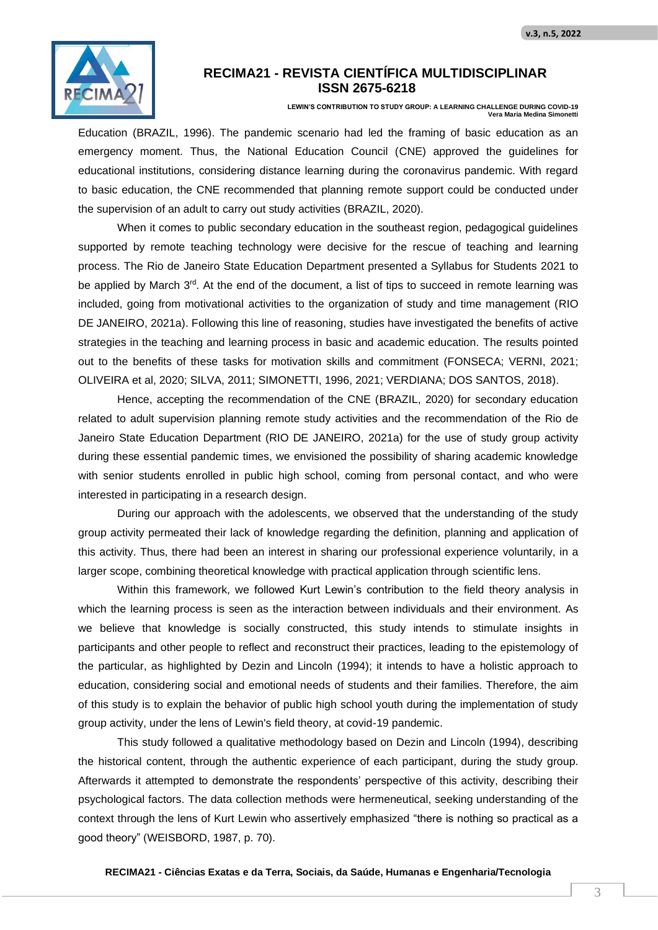

**LEWIN'S CONTRIBUTION TO STUDY GROUP: A LEARNING CHALLENGE DURING COVID-19 Vera Maria Medina Simonetti**

Education (BRAZIL, 1996). The pandemic scenario had led the framing of basic education as an emergency moment. Thus, the National Education Council (CNE) approved the guidelines for educational institutions, considering distance learning during the coronavirus pandemic. With regard to basic education, the CNE recommended that planning remote support could be conducted under the supervision of an adult to carry out study activities (BRAZIL, 2020).

When it comes to public secondary education in the southeast region, pedagogical guidelines supported by remote teaching technology were decisive for the rescue of teaching and learning process. The Rio de Janeiro State Education Department presented a Syllabus for Students 2021 to be applied by March 3<sup>rd</sup>. At the end of the document, a list of tips to succeed in remote learning was included, going from motivational activities to the organization of study and time management (RIO DE JANEIRO, 2021a). Following this line of reasoning, studies have investigated the benefits of active strategies in the teaching and learning process in basic and academic education. The results pointed out to the benefits of these tasks for motivation skills and commitment (FONSECA; VERNI, 2021; OLIVEIRA et al, 2020; SILVA, 2011; SIMONETTI, 1996, 2021; VERDIANA; DOS SANTOS, 2018).

Hence, accepting the recommendation of the CNE (BRAZIL, 2020) for secondary education related to adult supervision planning remote study activities and the recommendation of the Rio de Janeiro State Education Department (RIO DE JANEIRO, 2021a) for the use of study group activity during these essential pandemic times, we envisioned the possibility of sharing academic knowledge with senior students enrolled in public high school, coming from personal contact, and who were interested in participating in a research design.

During our approach with the adolescents, we observed that the understanding of the study group activity permeated their lack of knowledge regarding the definition, planning and application of this activity. Thus, there had been an interest in sharing our professional experience voluntarily, in a larger scope, combining theoretical knowledge with practical application through scientific lens.

Within this framework, we followed Kurt Lewin's contribution to the field theory analysis in which the learning process is seen as the interaction between individuals and their environment. As we believe that knowledge is socially constructed, this study intends to stimulate insights in participants and other people to reflect and reconstruct their practices, leading to the epistemology of the particular, as highlighted by Dezin and Lincoln (1994); it intends to have a holistic approach to education, considering social and emotional needs of students and their families. Therefore, the aim of this study is to explain the behavior of public high school youth during the implementation of study group activity, under the lens of Lewin's field theory, at covid-19 pandemic.

This study followed a qualitative methodology based on Dezin and Lincoln (1994), describing the historical content, through the authentic experience of each participant, during the study group. Afterwards it attempted to demonstrate the respondents' perspective of this activity, describing their psychological factors. The data collection methods were hermeneutical, seeking understanding of the context through the lens of Kurt Lewin who assertively emphasized "there is nothing so practical as a good theory" (WEISBORD, 1987, p. 70).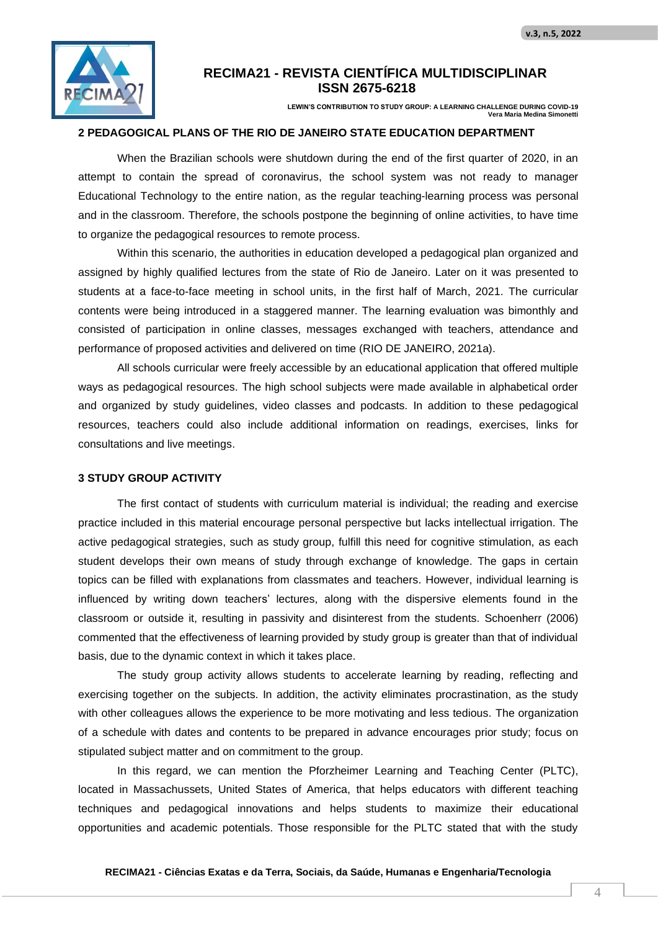

**LEWIN'S CONTRIBUTION TO STUDY GROUP: A LEARNING CHALLENGE DURING COVID-19 Vera Maria Medina Simon** 

#### **2 PEDAGOGICAL PLANS OF THE RIO DE JANEIRO STATE EDUCATION DEPARTMENT**

When the Brazilian schools were shutdown during the end of the first quarter of 2020, in an attempt to contain the spread of coronavirus, the school system was not ready to manager Educational Technology to the entire nation, as the regular teaching-learning process was personal and in the classroom. Therefore, the schools postpone the beginning of online activities, to have time to organize the pedagogical resources to remote process.

Within this scenario, the authorities in education developed a pedagogical plan organized and assigned by highly qualified lectures from the state of Rio de Janeiro. Later on it was presented to students at a face-to-face meeting in school units, in the first half of March, 2021. The curricular contents were being introduced in a staggered manner. The learning evaluation was bimonthly and consisted of participation in online classes, messages exchanged with teachers, attendance and performance of proposed activities and delivered on time (RIO DE JANEIRO, 2021a).

All schools curricular were freely accessible by an educational application that offered multiple ways as pedagogical resources. The high school subjects were made available in alphabetical order and organized by study guidelines, video classes and podcasts. In addition to these pedagogical resources, teachers could also include additional information on readings, exercises, links for consultations and live meetings.

### **3 STUDY GROUP ACTIVITY**

The first contact of students with curriculum material is individual; the reading and exercise practice included in this material encourage personal perspective but lacks intellectual irrigation. The active pedagogical strategies, such as study group, fulfill this need for cognitive stimulation, as each student develops their own means of study through exchange of knowledge. The gaps in certain topics can be filled with explanations from classmates and teachers. However, individual learning is influenced by writing down teachers' lectures, along with the dispersive elements found in the classroom or outside it, resulting in passivity and disinterest from the students. Schoenherr (2006) commented that the effectiveness of learning provided by study group is greater than that of individual basis, due to the dynamic context in which it takes place.

The study group activity allows students to accelerate learning by reading, reflecting and exercising together on the subjects. In addition, the activity eliminates procrastination, as the study with other colleagues allows the experience to be more motivating and less tedious. The organization of a schedule with dates and contents to be prepared in advance encourages prior study; focus on stipulated subject matter and on commitment to the group.

In this regard, we can mention the Pforzheimer Learning and Teaching Center (PLTC), located in Massachussets, United States of America, that helps educators with different teaching techniques and pedagogical innovations and helps students to maximize their educational opportunities and academic potentials. Those responsible for the PLTC stated that with the study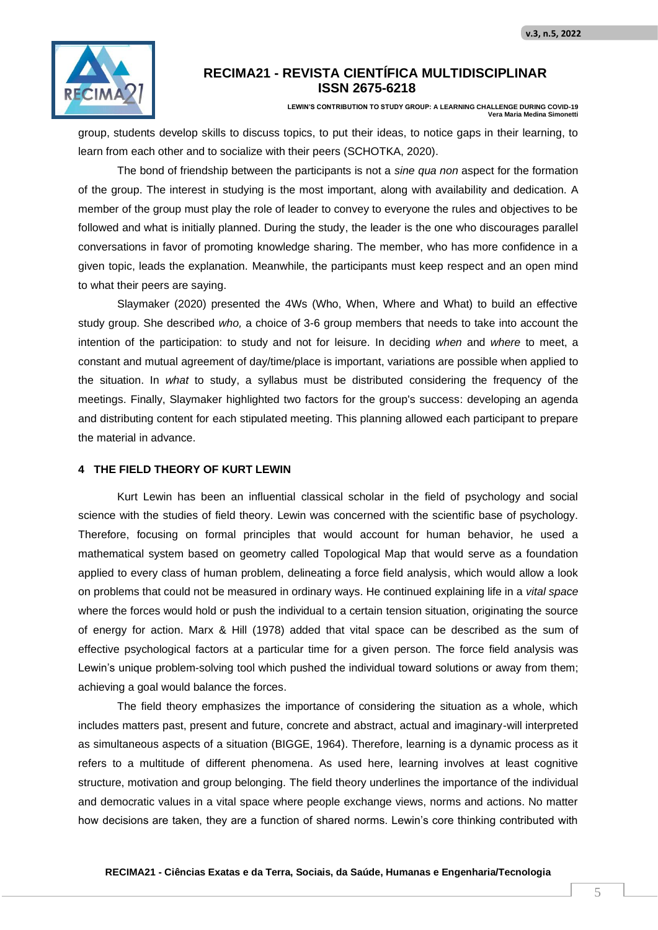

**LEWIN'S CONTRIBUTION TO STUDY GROUP: A LEARNING CHALLENGE DURING COVID-19 Vera Maria Medina Simonetti**

group, students develop skills to discuss topics, to put their ideas, to notice gaps in their learning, to learn from each other and to socialize with their peers (SCHOTKA, 2020).

The bond of friendship between the participants is not a *sine qua non* aspect for the formation of the group. The interest in studying is the most important, along with availability and dedication. A member of the group must play the role of leader to convey to everyone the rules and objectives to be followed and what is initially planned. During the study, the leader is the one who discourages parallel conversations in favor of promoting knowledge sharing. The member, who has more confidence in a given topic, leads the explanation. Meanwhile, the participants must keep respect and an open mind to what their peers are saying.

Slaymaker (2020) presented the 4Ws (Who, When, Where and What) to build an effective study group. She described *who,* a choice of 3-6 group members that needs to take into account the intention of the participation: to study and not for leisure. In deciding *when* and *where* to meet, a constant and mutual agreement of day/time/place is important, variations are possible when applied to the situation. In *what* to study, a syllabus must be distributed considering the frequency of the meetings. Finally, Slaymaker highlighted two factors for the group's success: developing an agenda and distributing content for each stipulated meeting. This planning allowed each participant to prepare the material in advance.

### **4 THE FIELD THEORY OF KURT LEWIN**

Kurt Lewin has been an influential classical scholar in the field of psychology and social science with the studies of field theory. Lewin was concerned with the scientific base of psychology. Therefore, focusing on formal principles that would account for human behavior, he used a mathematical system based on geometry called Topological Map that would serve as a foundation applied to every class of human problem, delineating a force field analysis, which would allow a look on problems that could not be measured in ordinary ways. He continued explaining life in a *vital space* where the forces would hold or push the individual to a certain tension situation, originating the source of energy for action. Marx & Hill (1978) added that vital space can be described as the sum of effective psychological factors at a particular time for a given person. The force field analysis was Lewin's unique problem-solving tool which pushed the individual toward solutions or away from them; achieving a goal would balance the forces.

The field theory emphasizes the importance of considering the situation as a whole, which includes matters past, present and future, concrete and abstract, actual and imaginary-will interpreted as simultaneous aspects of a situation (BIGGE, 1964). Therefore, learning is a dynamic process as it refers to a multitude of different phenomena. As used here, learning involves at least cognitive structure, motivation and group belonging. The field theory underlines the importance of the individual and democratic values in a vital space where people exchange views, norms and actions. No matter how decisions are taken, they are a function of shared norms. Lewin's core thinking contributed with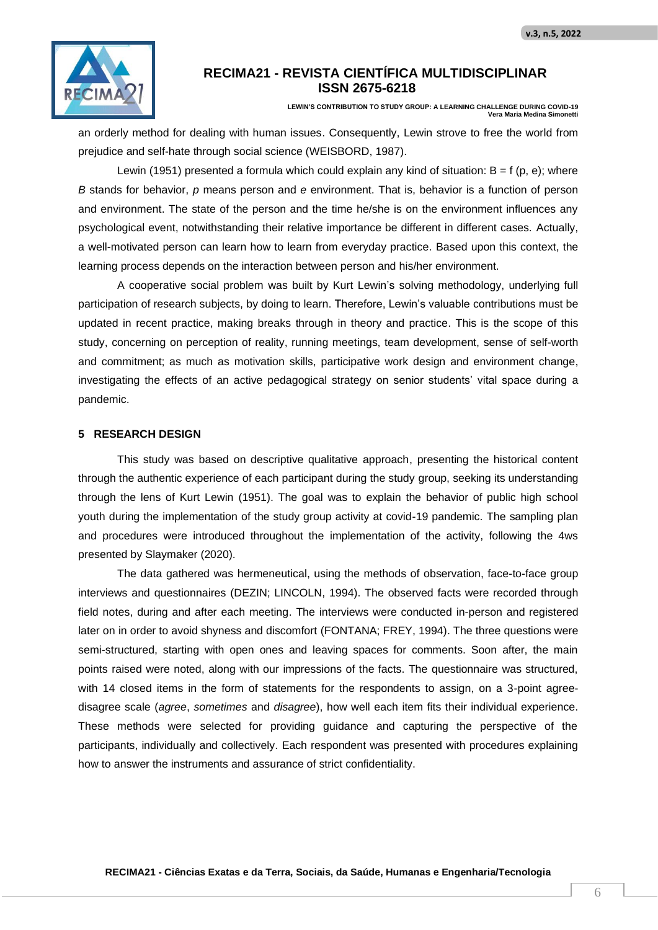

**LEWIN'S CONTRIBUTION TO STUDY GROUP: A LEARNING CHALLENGE DURING COVID-19 Vera Maria Medina Simonetti**

an orderly method for dealing with human issues. Consequently, Lewin strove to free the world from prejudice and self-hate through social science (WEISBORD, 1987).

Lewin (1951) presented a formula which could explain any kind of situation:  $B = f(p, e)$ ; where *B* stands for behavior, *p* means person and *e* environment. That is, behavior is a function of person and environment. The state of the person and the time he/she is on the environment influences any psychological event, notwithstanding their relative importance be different in different cases. Actually, a well-motivated person can learn how to learn from everyday practice. Based upon this context, the learning process depends on the interaction between person and his/her environment.

A cooperative social problem was built by Kurt Lewin's solving methodology, underlying full participation of research subjects, by doing to learn. Therefore, Lewin's valuable contributions must be updated in recent practice, making breaks through in theory and practice. This is the scope of this study, concerning on perception of reality, running meetings, team development, sense of self-worth and commitment; as much as motivation skills, participative work design and environment change, investigating the effects of an active pedagogical strategy on senior students' vital space during a pandemic.

#### **5 RESEARCH DESIGN**

This study was based on descriptive qualitative approach, presenting the historical content through the authentic experience of each participant during the study group, seeking its understanding through the lens of Kurt Lewin (1951). The goal was to explain the behavior of public high school youth during the implementation of the study group activity at covid-19 pandemic. The sampling plan and procedures were introduced throughout the implementation of the activity, following the 4ws presented by Slaymaker (2020).

The data gathered was hermeneutical, using the methods of observation, face-to-face group interviews and questionnaires (DEZIN; LINCOLN, 1994). The observed facts were recorded through field notes, during and after each meeting. The interviews were conducted in-person and registered later on in order to avoid shyness and discomfort (FONTANA; FREY, 1994). The three questions were semi-structured, starting with open ones and leaving spaces for comments. Soon after, the main points raised were noted, along with our impressions of the facts. The questionnaire was structured, with 14 closed items in the form of statements for the respondents to assign, on a 3-point agreedisagree scale (*agree*, *sometimes* and *disagree*), how well each item fits their individual experience. These methods were selected for providing guidance and capturing the perspective of the participants, individually and collectively. Each respondent was presented with procedures explaining how to answer the instruments and assurance of strict confidentiality.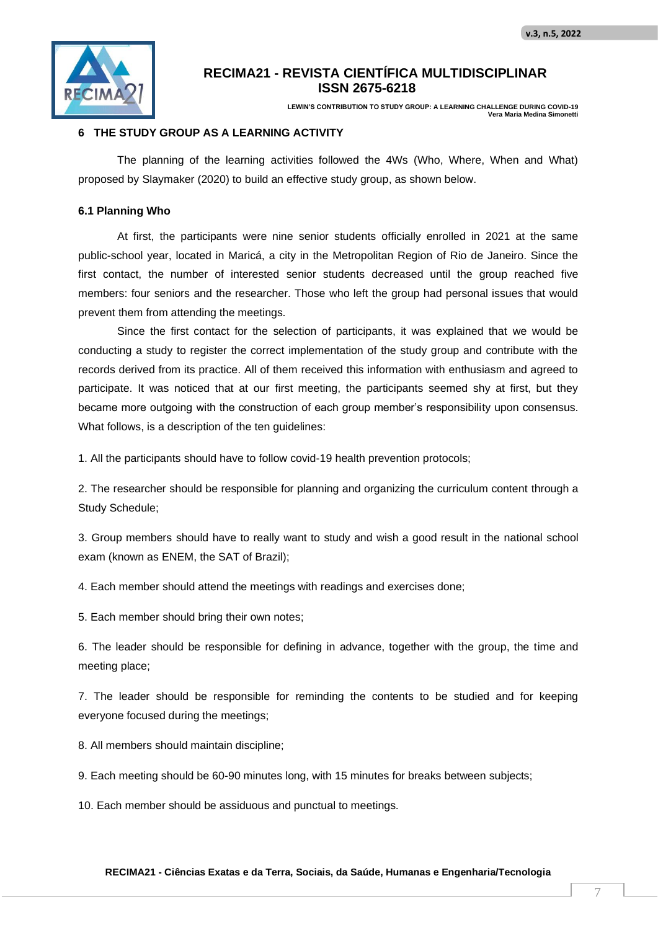

**LEWIN'S CONTRIBUTION TO STUDY GROUP: A LEARNING CHALLENGE DURING COVID-19 Vera Maria Medina Simone** 

### **6 THE STUDY GROUP AS A LEARNING ACTIVITY**

The planning of the learning activities followed the 4Ws (Who, Where, When and What) proposed by Slaymaker (2020) to build an effective study group, as shown below.

#### **6.1 Planning Who**

At first, the participants were nine senior students officially enrolled in 2021 at the same public-school year, located in Maricá, a city in the Metropolitan Region of Rio de Janeiro. Since the first contact, the number of interested senior students decreased until the group reached five members: four seniors and the researcher. Those who left the group had personal issues that would prevent them from attending the meetings.

Since the first contact for the selection of participants, it was explained that we would be conducting a study to register the correct implementation of the study group and contribute with the records derived from its practice. All of them received this information with enthusiasm and agreed to participate. It was noticed that at our first meeting, the participants seemed shy at first, but they became more outgoing with the construction of each group member's responsibility upon consensus. What follows, is a description of the ten guidelines:

1. All the participants should have to follow covid-19 health prevention protocols;

2. The researcher should be responsible for planning and organizing the curriculum content through a Study Schedule;

3. Group members should have to really want to study and wish a good result in the national school exam (known as ENEM, the SAT of Brazil);

4. Each member should attend the meetings with readings and exercises done;

5. Each member should bring their own notes;

6. The leader should be responsible for defining in advance, together with the group, the time and meeting place;

7. The leader should be responsible for reminding the contents to be studied and for keeping everyone focused during the meetings;

8. All members should maintain discipline;

9. Each meeting should be 60-90 minutes long, with 15 minutes for breaks between subjects;

10. Each member should be assiduous and punctual to meetings.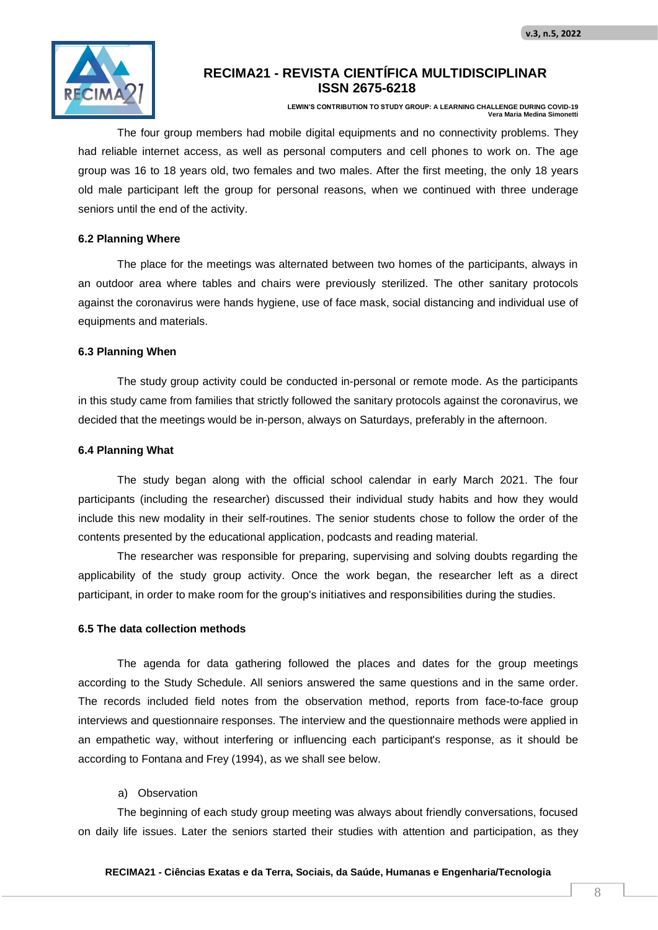

**LEWIN'S CONTRIBUTION TO STUDY GROUP: A LEARNING CHALLENGE DURING COVID-19 Vera Maria Medina Simonetti**

The four group members had mobile digital equipments and no connectivity problems. They had reliable internet access, as well as personal computers and cell phones to work on. The age group was 16 to 18 years old, two females and two males. After the first meeting, the only 18 years old male participant left the group for personal reasons, when we continued with three underage seniors until the end of the activity.

#### **6.2 Planning Where**

The place for the meetings was alternated between two homes of the participants, always in an outdoor area where tables and chairs were previously sterilized. The other sanitary protocols against the coronavirus were hands hygiene, use of face mask, social distancing and individual use of equipments and materials.

#### **6.3 Planning When**

The study group activity could be conducted in-personal or remote mode. As the participants in this study came from families that strictly followed the sanitary protocols against the coronavirus, we decided that the meetings would be in-person, always on Saturdays, preferably in the afternoon.

#### **6.4 Planning What**

The study began along with the official school calendar in early March 2021. The four participants (including the researcher) discussed their individual study habits and how they would include this new modality in their self-routines. The senior students chose to follow the order of the contents presented by the educational application, podcasts and reading material.

The researcher was responsible for preparing, supervising and solving doubts regarding the applicability of the study group activity. Once the work began, the researcher left as a direct participant, in order to make room for the group's initiatives and responsibilities during the studies.

#### **6.5 The data collection methods**

The agenda for data gathering followed the places and dates for the group meetings according to the Study Schedule. All seniors answered the same questions and in the same order. The records included field notes from the observation method, reports from face-to-face group interviews and questionnaire responses. The interview and the questionnaire methods were applied in an empathetic way, without interfering or influencing each participant's response, as it should be according to Fontana and Frey (1994), as we shall see below.

#### a) Observation

The beginning of each study group meeting was always about friendly conversations, focused on daily life issues. Later the seniors started their studies with attention and participation, as they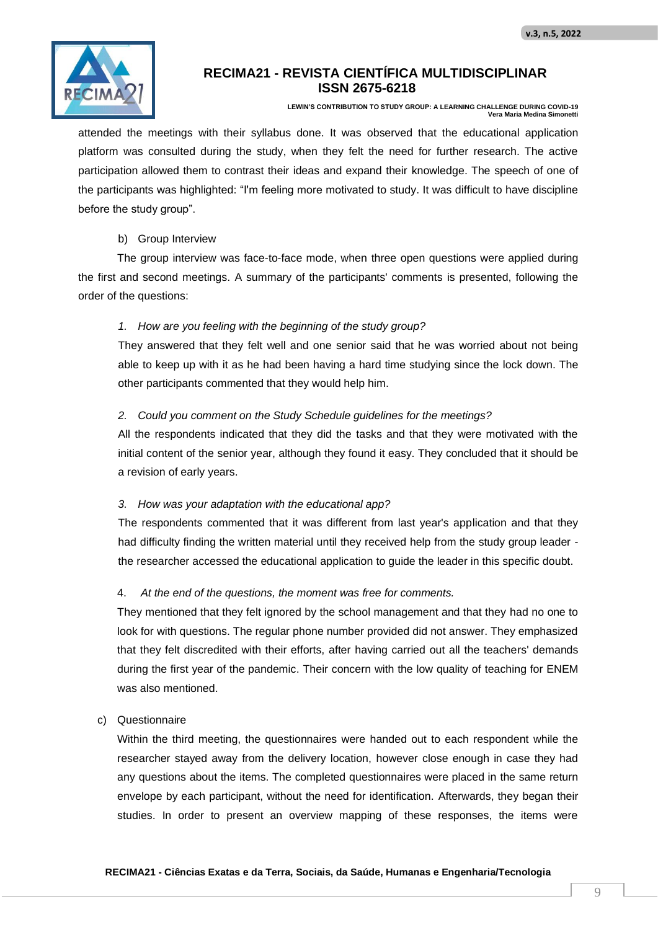

**LEWIN'S CONTRIBUTION TO STUDY GROUP: A LEARNING CHALLENGE DURING COVID-19 Vera Maria Medina Simonetti**

attended the meetings with their syllabus done. It was observed that the educational application platform was consulted during the study, when they felt the need for further research. The active participation allowed them to contrast their ideas and expand their knowledge. The speech of one of the participants was highlighted: "I'm feeling more motivated to study. It was difficult to have discipline before the study group".

### b) Group Interview

The group interview was face-to-face mode, when three open questions were applied during the first and second meetings. A summary of the participants' comments is presented, following the order of the questions:

## *1. How are you feeling with the beginning of the study group?*

They answered that they felt well and one senior said that he was worried about not being able to keep up with it as he had been having a hard time studying since the lock down. The other participants commented that they would help him.

### *2. Could you comment on the Study Schedule guidelines for the meetings?*

All the respondents indicated that they did the tasks and that they were motivated with the initial content of the senior year, although they found it easy. They concluded that it should be a revision of early years.

### *3. How was your adaptation with the educational app?*

The respondents commented that it was different from last year's application and that they had difficulty finding the written material until they received help from the study group leader the researcher accessed the educational application to guide the leader in this specific doubt.

## 4. *At the end of the questions, the moment was free for comments.*

They mentioned that they felt ignored by the school management and that they had no one to look for with questions. The regular phone number provided did not answer. They emphasized that they felt discredited with their efforts, after having carried out all the teachers' demands during the first year of the pandemic. Their concern with the low quality of teaching for ENEM was also mentioned.

### c) Questionnaire

Within the third meeting, the questionnaires were handed out to each respondent while the researcher stayed away from the delivery location, however close enough in case they had any questions about the items. The completed questionnaires were placed in the same return envelope by each participant, without the need for identification. Afterwards, they began their studies. In order to present an overview mapping of these responses, the items were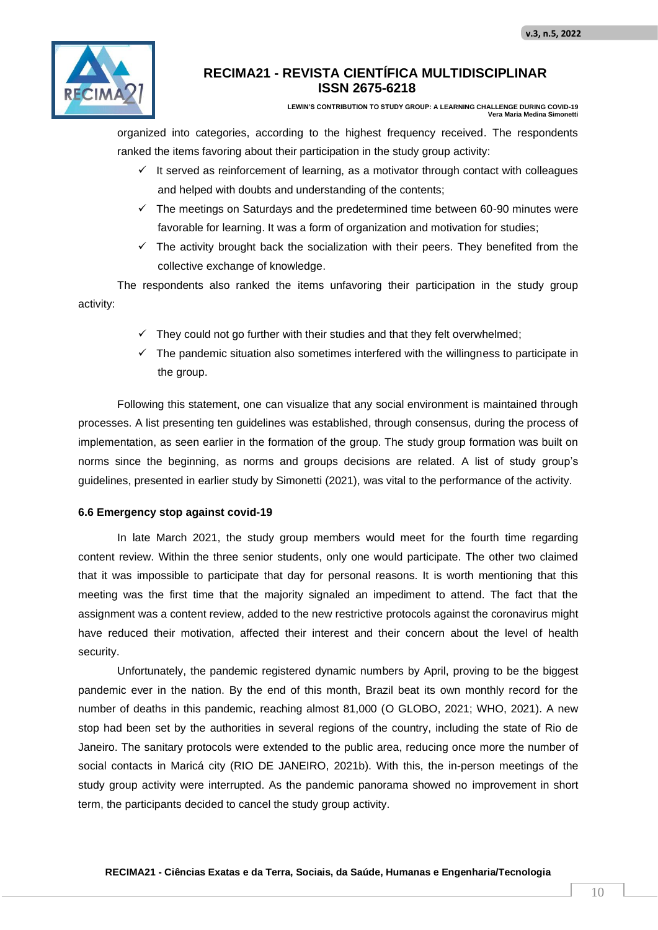

**LEWIN'S CONTRIBUTION TO STUDY GROUP: A LEARNING CHALLENGE DURING COVID-19 Vera Maria Medina Simonetti**

organized into categories, according to the highest frequency received. The respondents ranked the items favoring about their participation in the study group activity:

- $\checkmark$  It served as reinforcement of learning, as a motivator through contact with colleagues and helped with doubts and understanding of the contents;
- $\checkmark$  The meetings on Saturdays and the predetermined time between 60-90 minutes were favorable for learning. It was a form of organization and motivation for studies;
- $\checkmark$  The activity brought back the socialization with their peers. They benefited from the collective exchange of knowledge.

The respondents also ranked the items unfavoring their participation in the study group activity:

- $\checkmark$  They could not go further with their studies and that they felt overwhelmed;
- $\checkmark$  The pandemic situation also sometimes interfered with the willingness to participate in the group.

Following this statement, one can visualize that any social environment is maintained through processes. A list presenting ten guidelines was established, through consensus, during the process of implementation, as seen earlier in the formation of the group. The study group formation was built on norms since the beginning, as norms and groups decisions are related. A list of study group's guidelines, presented in earlier study by Simonetti (2021), was vital to the performance of the activity.

### **6.6 Emergency stop against covid-19**

In late March 2021, the study group members would meet for the fourth time regarding content review. Within the three senior students, only one would participate. The other two claimed that it was impossible to participate that day for personal reasons. It is worth mentioning that this meeting was the first time that the majority signaled an impediment to attend. The fact that the assignment was a content review, added to the new restrictive protocols against the coronavirus might have reduced their motivation, affected their interest and their concern about the level of health security.

Unfortunately, the pandemic registered dynamic numbers by April, proving to be the biggest pandemic ever in the nation. By the end of this month, Brazil beat its own monthly record for the number of deaths in this pandemic, reaching almost 81,000 (O GLOBO, 2021; WHO, 2021). A new stop had been set by the authorities in several regions of the country, including the state of Rio de Janeiro. The sanitary protocols were extended to the public area, reducing once more the number of social contacts in Maricá city (RIO DE JANEIRO, 2021b). With this, the in-person meetings of the study group activity were interrupted. As the pandemic panorama showed no improvement in short term, the participants decided to cancel the study group activity.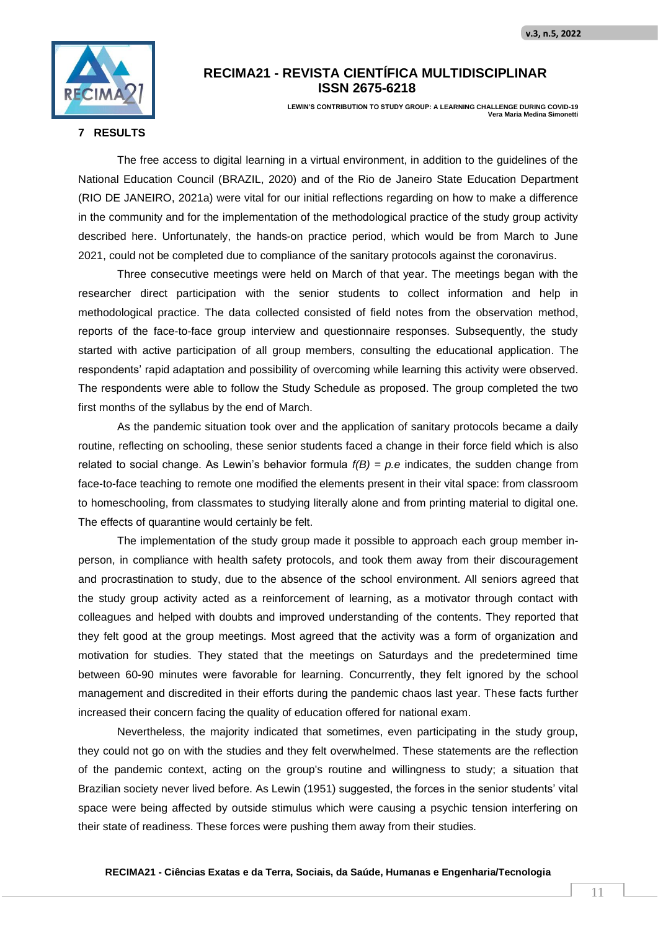

**LEWIN'S CONTRIBUTION TO STUDY GROUP: A LEARNING CHALLENGE DURING COVID-19 Vera Maria Medina Simon** 

### **7 RESULTS**

The free access to digital learning in a virtual environment, in addition to the guidelines of the National Education Council (BRAZIL, 2020) and of the Rio de Janeiro State Education Department (RIO DE JANEIRO, 2021a) were vital for our initial reflections regarding on how to make a difference in the community and for the implementation of the methodological practice of the study group activity described here. Unfortunately, the hands-on practice period, which would be from March to June 2021, could not be completed due to compliance of the sanitary protocols against the coronavirus.

Three consecutive meetings were held on March of that year. The meetings began with the researcher direct participation with the senior students to collect information and help in methodological practice. The data collected consisted of field notes from the observation method, reports of the face-to-face group interview and questionnaire responses. Subsequently, the study started with active participation of all group members, consulting the educational application. The respondents' rapid adaptation and possibility of overcoming while learning this activity were observed. The respondents were able to follow the Study Schedule as proposed. The group completed the two first months of the syllabus by the end of March.

As the pandemic situation took over and the application of sanitary protocols became a daily routine, reflecting on schooling, these senior students faced a change in their force field which is also related to social change. As Lewin's behavior formula  $f(B) = p.e$  indicates, the sudden change from face-to-face teaching to remote one modified the elements present in their vital space: from classroom to homeschooling, from classmates to studying literally alone and from printing material to digital one. The effects of quarantine would certainly be felt.

The implementation of the study group made it possible to approach each group member inperson, in compliance with health safety protocols, and took them away from their discouragement and procrastination to study, due to the absence of the school environment. All seniors agreed that the study group activity acted as a reinforcement of learning, as a motivator through contact with colleagues and helped with doubts and improved understanding of the contents. They reported that they felt good at the group meetings. Most agreed that the activity was a form of organization and motivation for studies. They stated that the meetings on Saturdays and the predetermined time between 60-90 minutes were favorable for learning. Concurrently, they felt ignored by the school management and discredited in their efforts during the pandemic chaos last year. These facts further increased their concern facing the quality of education offered for national exam.

Nevertheless, the majority indicated that sometimes, even participating in the study group, they could not go on with the studies and they felt overwhelmed. These statements are the reflection of the pandemic context, acting on the group's routine and willingness to study; a situation that Brazilian society never lived before. As Lewin (1951) suggested, the forces in the senior students' vital space were being affected by outside stimulus which were causing a psychic tension interfering on their state of readiness. These forces were pushing them away from their studies.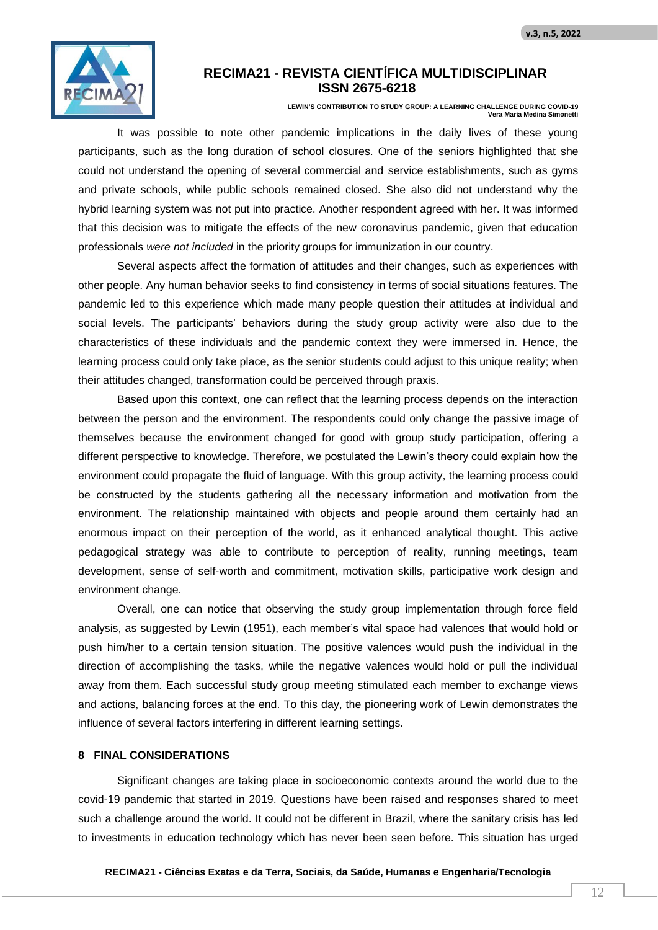

**LEWIN'S CONTRIBUTION TO STUDY GROUP: A LEARNING CHALLENGE DURING COVID-19 Vera Maria Medina Simonetti**

It was possible to note other pandemic implications in the daily lives of these young participants, such as the long duration of school closures. One of the seniors highlighted that she could not understand the opening of several commercial and service establishments, such as gyms and private schools, while public schools remained closed. She also did not understand why the hybrid learning system was not put into practice. Another respondent agreed with her. It was informed that this decision was to mitigate the effects of the new coronavirus pandemic, given that education professionals *were not included* in the priority groups for immunization in our country.

Several aspects affect the formation of attitudes and their changes, such as experiences with other people. Any human behavior seeks to find consistency in terms of social situations features. The pandemic led to this experience which made many people question their attitudes at individual and social levels. The participants' behaviors during the study group activity were also due to the characteristics of these individuals and the pandemic context they were immersed in. Hence, the learning process could only take place, as the senior students could adjust to this unique reality; when their attitudes changed, transformation could be perceived through praxis.

Based upon this context, one can reflect that the learning process depends on the interaction between the person and the environment. The respondents could only change the passive image of themselves because the environment changed for good with group study participation, offering a different perspective to knowledge. Therefore, we postulated the Lewin's theory could explain how the environment could propagate the fluid of language. With this group activity, the learning process could be constructed by the students gathering all the necessary information and motivation from the environment. The relationship maintained with objects and people around them certainly had an enormous impact on their perception of the world, as it enhanced analytical thought. This active pedagogical strategy was able to contribute to perception of reality, running meetings, team development, sense of self-worth and commitment, motivation skills, participative work design and environment change.

Overall, one can notice that observing the study group implementation through force field analysis, as suggested by Lewin (1951), each member's vital space had valences that would hold or push him/her to a certain tension situation. The positive valences would push the individual in the direction of accomplishing the tasks, while the negative valences would hold or pull the individual away from them. Each successful study group meeting stimulated each member to exchange views and actions, balancing forces at the end. To this day, the pioneering work of Lewin demonstrates the influence of several factors interfering in different learning settings.

### **8 FINAL CONSIDERATIONS**

Significant changes are taking place in socioeconomic contexts around the world due to the covid-19 pandemic that started in 2019. Questions have been raised and responses shared to meet such a challenge around the world. It could not be different in Brazil, where the sanitary crisis has led to investments in education technology which has never been seen before. This situation has urged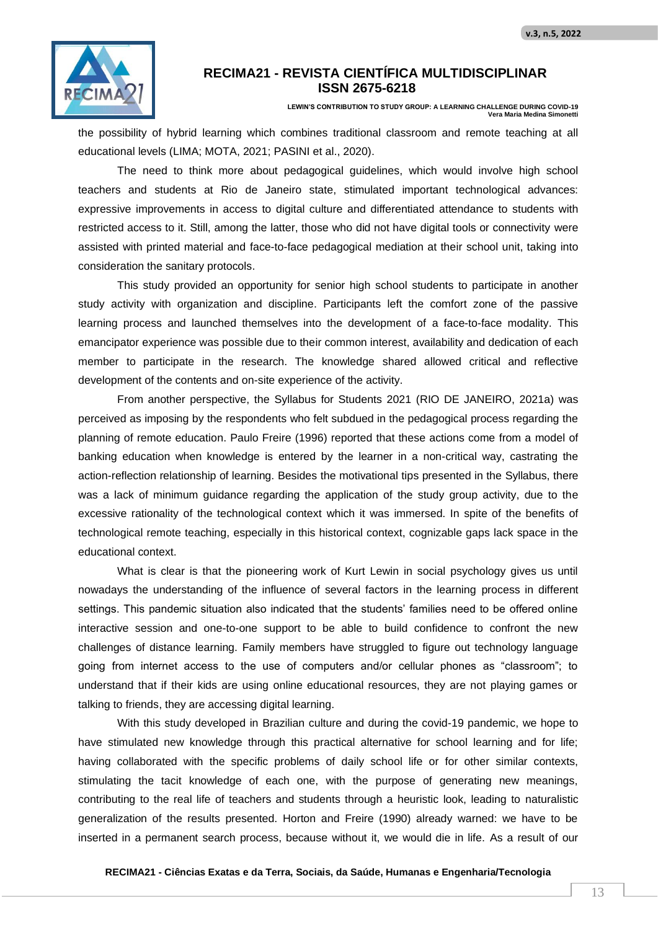

**LEWIN'S CONTRIBUTION TO STUDY GROUP: A LEARNING CHALLENGE DURING COVID-19 Vera Maria Medina Simonetti**

the possibility of hybrid learning which combines traditional classroom and remote teaching at all educational levels (LIMA; MOTA, 2021; PASINI et al., 2020).

The need to think more about pedagogical guidelines, which would involve high school teachers and students at Rio de Janeiro state, stimulated important technological advances: expressive improvements in access to digital culture and differentiated attendance to students with restricted access to it. Still, among the latter, those who did not have digital tools or connectivity were assisted with printed material and face-to-face pedagogical mediation at their school unit, taking into consideration the sanitary protocols.

This study provided an opportunity for senior high school students to participate in another study activity with organization and discipline. Participants left the comfort zone of the passive learning process and launched themselves into the development of a face-to-face modality. This emancipator experience was possible due to their common interest, availability and dedication of each member to participate in the research. The knowledge shared allowed critical and reflective development of the contents and on-site experience of the activity.

From another perspective, the Syllabus for Students 2021 (RIO DE JANEIRO, 2021a) was perceived as imposing by the respondents who felt subdued in the pedagogical process regarding the planning of remote education. Paulo Freire (1996) reported that these actions come from a model of banking education when knowledge is entered by the learner in a non-critical way, castrating the action-reflection relationship of learning. Besides the motivational tips presented in the Syllabus, there was a lack of minimum guidance regarding the application of the study group activity, due to the excessive rationality of the technological context which it was immersed. In spite of the benefits of technological remote teaching, especially in this historical context, cognizable gaps lack space in the educational context.

What is clear is that the pioneering work of Kurt Lewin in social psychology gives us until nowadays the understanding of the influence of several factors in the learning process in different settings. This pandemic situation also indicated that the students' families need to be offered online interactive session and one-to-one support to be able to build confidence to confront the new challenges of distance learning. Family members have struggled to figure out technology language going from internet access to the use of computers and/or cellular phones as "classroom"; to understand that if their kids are using online educational resources, they are not playing games or talking to friends, they are accessing digital learning.

With this study developed in Brazilian culture and during the covid-19 pandemic, we hope to have stimulated new knowledge through this practical alternative for school learning and for life; having collaborated with the specific problems of daily school life or for other similar contexts, stimulating the tacit knowledge of each one, with the purpose of generating new meanings, contributing to the real life of teachers and students through a heuristic look, leading to naturalistic generalization of the results presented. Horton and Freire (1990) already warned: we have to be inserted in a permanent search process, because without it, we would die in life. As a result of our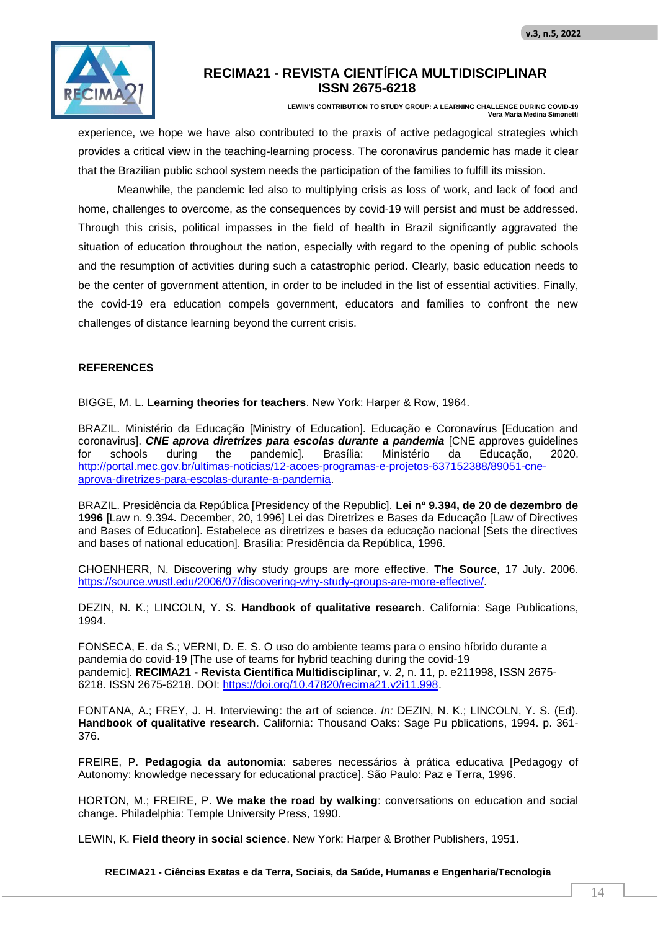

**LEWIN'S CONTRIBUTION TO STUDY GROUP: A LEARNING CHALLENGE DURING COVID-19 Vera Maria Medina Simonetti**

experience, we hope we have also contributed to the praxis of active pedagogical strategies which provides a critical view in the teaching-learning process. The coronavirus pandemic has made it clear that the Brazilian public school system needs the participation of the families to fulfill its mission.

Meanwhile, the pandemic led also to multiplying crisis as loss of work, and lack of food and home, challenges to overcome, as the consequences by covid-19 will persist and must be addressed. Through this crisis, political impasses in the field of health in Brazil significantly aggravated the situation of education throughout the nation, especially with regard to the opening of public schools and the resumption of activities during such a catastrophic period. Clearly, basic education needs to be the center of government attention, in order to be included in the list of essential activities. Finally, the covid-19 era education compels government, educators and families to confront the new challenges of distance learning beyond the current crisis.

### **REFERENCES**

BIGGE, M. L. **Learning theories for teachers**. New York: Harper & Row, 1964.

BRAZIL. Ministério da Educação [Ministry of Education]. Educação e Coronavírus [Education and coronavirus]. *CNE aprova diretrizes para escolas durante a pandemia* [CNE approves guidelines for schools during the pandemic]. Brasília: Ministério da Educação, 2020. http://portal.mec.gov.br/ultimas-noticias/12-acoes-programas-e-projetos-637152388/89051-cneaprova-diretrizes-para-escolas-durante-a-pandemia.

BRAZIL. Presidência da República [Presidency of the Republic]. **Lei nº 9.394, de 20 de dezembro de 1996** [Law n. 9.394**.** December, 20, 1996] Lei das Diretrizes e Bases da Educação [Law of Directives and Bases of Education]. Estabelece as diretrizes e bases da educação nacional [Sets the directives and bases of national education]. Brasília: Presidência da República, 1996.

CHOENHERR, N. Discovering why study groups are more effective*.* **The Source**, 17 July. 2006. https://source.wustl.edu/2006/07/discovering-why-study-groups-are-more-effective/.

DEZIN, N. K.; LINCOLN, Y. S. **Handbook of qualitative research**. California: Sage Publications, 1994.

FONSECA, E. da S.; VERNI, D. E. S. O uso do ambiente teams para o ensino híbrido durante a pandemia do covid-19 [The use of teams for hybrid teaching during the covid-19 pandemic]. **RECIMA21 - Revista Científica Multidisciplinar**, v. *2*, n. 11, p. e211998, ISSN 2675- 6218. ISSN 2675-6218. DOI: https://doi.org/10.47820/recima21.v2i11.998.

FONTANA, A.; FREY, J. H. Interviewing: the art of science. *In:* DEZIN, N. K.; LINCOLN, Y. S. (Ed). **Handbook of qualitative research**. California: Thousand Oaks: Sage Pu pblications, 1994. p. 361- 376.

FREIRE, P. **Pedagogia da autonomia**: saberes necessários à prática educativa [Pedagogy of Autonomy: knowledge necessary for educational practice]. São Paulo: Paz e Terra, 1996.

HORTON, M.; FREIRE, P. **We make the road by walking**: conversations on education and social change. Philadelphia: Temple University Press, 1990.

LEWIN, K. **Field theory in social science**. New York: Harper & Brother Publishers, 1951.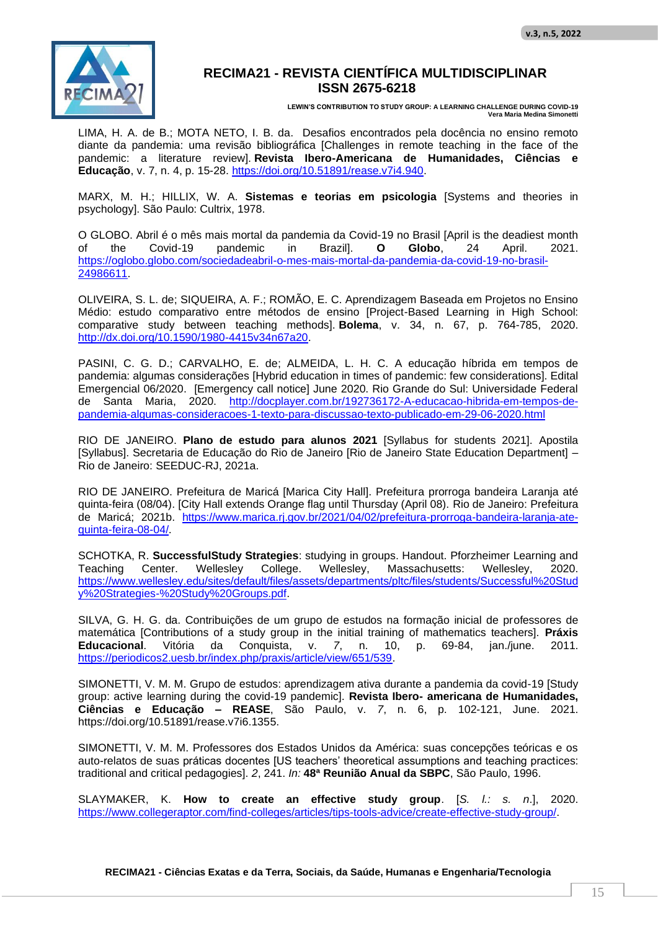

**LEWIN'S CONTRIBUTION TO STUDY GROUP: A LEARNING CHALLENGE DURING COVID-19 Vera Maria Medina Simonetti**

LIMA, H. A. de B.; MOTA NETO, I. B. da. Desafios encontrados pela docência no ensino remoto diante da pandemia: uma revisão bibliográfica [Challenges in remote teaching in the face of the pandemic: a literature review]. **Revista Ibero-Americana de Humanidades, Ciências e Educação**, v. 7, n. 4, p. 15-28. https://doi.org/10.51891/rease.v7i4.940.

MARX, M. H.; HILLIX, W. A. **Sistemas e teorias em psicologia** [Systems and theories in psychology]. São Paulo: Cultrix, 1978.

O GLOBO. Abril é o mês mais mortal da pandemia da Covid-19 no Brasil [April is the deadiest month of the Covid-19 pandemic in Brazil]. **O Globo**, 24 April. 2021. https://oglobo.globo.com/sociedadeabril-o-mes-mais-mortal-da-pandemia-da-covid-19-no-brasil-24986611.

OLIVEIRA, S. L. de; SIQUEIRA, A. F.; ROMÃO, E. C. Aprendizagem Baseada em Projetos no Ensino Médio: estudo comparativo entre métodos de ensino [Project-Based Learning in High School: comparative study between teaching methods]. **Bolema**, v. 34, n. 67, p. 764-785, 2020. http://dx.doi.org/10.1590/1980-4415v34n67a20.

PASINI, C. G. D.; CARVALHO, E. de; ALMEIDA, L. H. C. A educação híbrida em tempos de pandemia: algumas considerações [Hybrid education in times of pandemic: few considerations]. Edital Emergencial 06/2020. [Emergency call notice] June 2020. Rio Grande do Sul: Universidade Federal de Santa Maria, 2020. http://docplayer.com.br/192736172-A-educacao-hibrida-em-tempos-depandemia-algumas-consideracoes-1-texto-para-discussao-texto-publicado-em-29-06-2020.html

RIO DE JANEIRO. **Plano de estudo para alunos 2021** [Syllabus for students 2021]. Apostila [Syllabus]. Secretaria de Educação do Rio de Janeiro [Rio de Janeiro State Education Department] – Rio de Janeiro: SEEDUC-RJ, 2021a.

RIO DE JANEIRO. Prefeitura de Maricá [Marica City Hall]. Prefeitura prorroga bandeira Laranja até quinta-feira (08/04). [City Hall extends Orange flag until Thursday (April 08). Rio de Janeiro: Prefeitura de Maricá; 2021b. https://www.marica.rj.gov.br/2021/04/02/prefeitura-prorroga-bandeira-laranja-atequinta-feira-08-04/.

SCHOTKA, R. **SuccessfulStudy Strategies**: studying in groups. Handout. Pforzheimer Learning and Teaching Center. Wellesley College. Wellesley, Massachusetts: Wellesley, 2020. https://www.wellesley.edu/sites/default/files/assets/departments/pltc/files/students/Successful%20Stud y%20Strategies-%20Study%20Groups.pdf.

SILVA, G. H. G. da. Contribuições de um grupo de estudos na formação inicial de professores de matemática [Contributions of a study group in the initial training of mathematics teachers]. **Práxis Educacional**. Vitória da Conquista, v. *7*, n. 10, p. 69-84, jan./june. 2011. https://periodicos2.uesb.br/index.php/praxis/article/view/651/539.

SIMONETTI, V. M. M. Grupo de estudos: aprendizagem ativa durante a pandemia da covid-19 [Study group: active learning during the covid-19 pandemic]. **Revista Ibero- americana de Humanidades, Ciências e Educação – REASE**, São Paulo, v. *7*, n. 6, p. 102-121, June. 2021. https://doi.org/10.51891/rease.v7i6.1355.

SIMONETTI, V. M. M. Professores dos Estados Unidos da América: suas concepções teóricas e os auto-relatos de suas práticas docentes [US teachers' theoretical assumptions and teaching practices: traditional and critical pedagogies]. *2*, 241. *In:* **48ª Reunião Anual da SBPC**, São Paulo, 1996.

SLAYMAKER, K. **How to create an effective study group**. [*S. l.: s. n*.], 2020. https://www.collegeraptor.com/find-colleges/articles/tips-tools-advice/create-effective-study-group/.